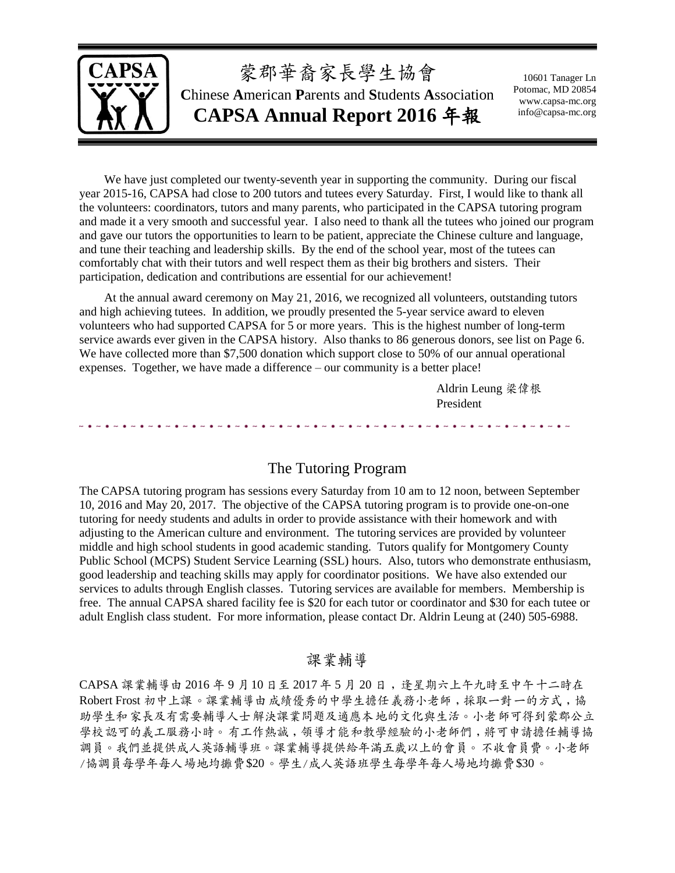

# 蒙郡華裔家長學生協會

**C**hinese **A**merican **P**arents and **S**tudents **A**ssociation **CAPSA Annual Report 2016** 年報

10601 Tanager Ln Potomac, MD 20854 www.capsa-mc.org info@capsa-mc.org

We have just completed our twenty-seventh year in supporting the community. During our fiscal year 2015-16, CAPSA had close to 200 tutors and tutees every Saturday. First, I would like to thank all the volunteers: coordinators, tutors and many parents, who participated in the CAPSA tutoring program and made it a very smooth and successful year. I also need to thank all the tutees who joined our program and gave our tutors the opportunities to learn to be patient, appreciate the Chinese culture and language, and tune their teaching and leadership skills. By the end of the school year, most of the tutees can comfortably chat with their tutors and well respect them as their big brothers and sisters. Their participation, dedication and contributions are essential for our achievement!

At the annual award ceremony on May 21, 2016, we recognized all volunteers, outstanding tutors and high achieving tutees. In addition, we proudly presented the 5-year service award to eleven volunteers who had supported CAPSA for 5 or more years. This is the highest number of long-term service awards ever given in the CAPSA history. Also thanks to 86 generous donors, see list on Page 6. We have collected more than \$7,500 donation which support close to 50% of our annual operational expenses. Together, we have made a difference – our community is a better place!

> Aldrin Leung 梁偉根 President

تداويد والداويد والداويد والداويد

### The Tutoring Program

The CAPSA tutoring program has sessions every Saturday from 10 am to 12 noon, between September 10, 2016 and May 20, 2017. The objective of the CAPSA tutoring program is to provide one-on-one tutoring for needy students and adults in order to provide assistance with their homework and with adjusting to the American culture and environment. The tutoring services are provided by volunteer middle and high school students in good academic standing. Tutors qualify for Montgomery County Public School (MCPS) Student Service Learning (SSL) hours. Also, tutors who demonstrate enthusiasm, good leadership and teaching skills may apply for coordinator positions. We have also extended our services to adults through English classes. Tutoring services are available for members. Membership is free. The annual CAPSA shared facility fee is \$20 for each tutor or coordinator and \$30 for each tutee or adult English class student. For more information, please contact Dr. Aldrin Leung at (240) 505-6988.

### 課業輔導

CAPSA 課業輔導由 2016 年 9 月10 日至 2017 年 5 月 20 日﹐逢星期六上午九時至中午十二時在 Robert Frost 初中上課。課業輔導由成績優秀的中學生擔任義務小老師﹐採取一對一的方式﹐協 助學生和家長及有需要輔導人士解決課業問題及適應本地的文化與生活。小老師可得到蒙郡公立 學校認可的義工服務小時。有工作熱誠,領導才能和教學經驗的小老師們,將可申請擔任輔導協 調員。我們並提供成人英語輔導班。課業輔導提供給年滿五歲以上的會員。不收會員費。小老師 /協調員每學年每人場地均攤費\$20。學生/成人英語班學生每學年每人場地均攤費\$30。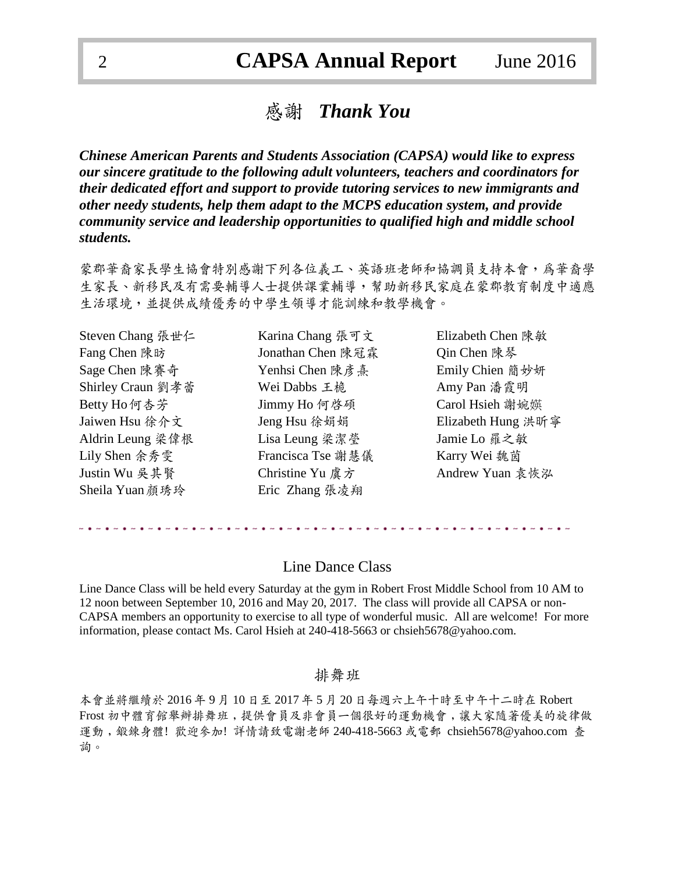## 感謝*Thank You*

*Chinese American Parents and Students Association (CAPSA) would like to express our sincere gratitude to the following adult volunteers, teachers and coordinators for their dedicated effort and support to provide tutoring services to new immigrants and other needy students, help them adapt to the MCPS education system, and provide community service and leadership opportunities to qualified high and middle school students.*

蒙郡華裔家長學生協會特別感謝下列各位義工、英語班老師和協調員支持本會,為華裔學 生家長、新移民及有需要輔導人士提供課業輔導,幫助新移民家庭在蒙郡教育制度中適應 生活環境,並提供成績優秀的中學生領導才能訓練和教學機會。

| Steven Chang 張世仁  | Karina Chang 張可文  | Elizabeth Chen 陳敏  |
|-------------------|-------------------|--------------------|
| Fang Chen 陳昉      | Jonathan Chen 陳冠霖 | Qin Chen 陳琴        |
| Sage Chen 陳賽奇     | Yenhsi Chen 陳彦熹   | Emily Chien 簡妙妍    |
| Shirley Craun 劉孝蕾 | Wei Dabbs 王桅      | Amy Pan 潘霞明        |
| Betty Ho 何杏芳      | Jimmy Ho 何啓碩      | Carol Hsieh 謝婉媖    |
| Jaiwen Hsu 徐介文    | Jeng Hsu 徐娟娟      | Elizabeth Hung 洪昕寧 |
| Aldrin Leung 梁偉根  | Lisa Leung 梁潔瑩    | Jamie Lo 羅之敏       |
| Lily Shen 余秀雯     | Francisca Tse 謝慧儀 | Karry Wei 魏茵       |
| Justin Wu 吳其賢     | Christine Yu 虞方   | Andrew Yuan 袁恢泓    |
| Sheila Yuan 顏琇玲   | Eric Zhang 張凌翔    |                    |

#### Line Dance Class

Line Dance Class will be held every Saturday at the gym in Robert Frost Middle School from 10 AM to 12 noon between September 10, 2016 and May 20, 2017. The class will provide all CAPSA or non-CAPSA members an opportunity to exercise to all type of wonderful music. All are welcome! For more information, please contact Ms. Carol Hsieh at 240-418-5663 or chsieh5678@yahoo.com.

#### 排舞班

本會並將繼續於 2016 年 9 月 10 日至 2017 年 5 月 20 日每週六上午十時至中午十二時在 Robert Frost 初中體育館舉辦排舞班﹐提供會員及非會員一個很好的運動機會﹐讓大家隨著優美的旋律做 運動﹐鍛鍊身體! 歡迎參加! 詳情請致電謝老師 240-418-5663 或電郵 chsieh5678@yahoo.com 查 詢。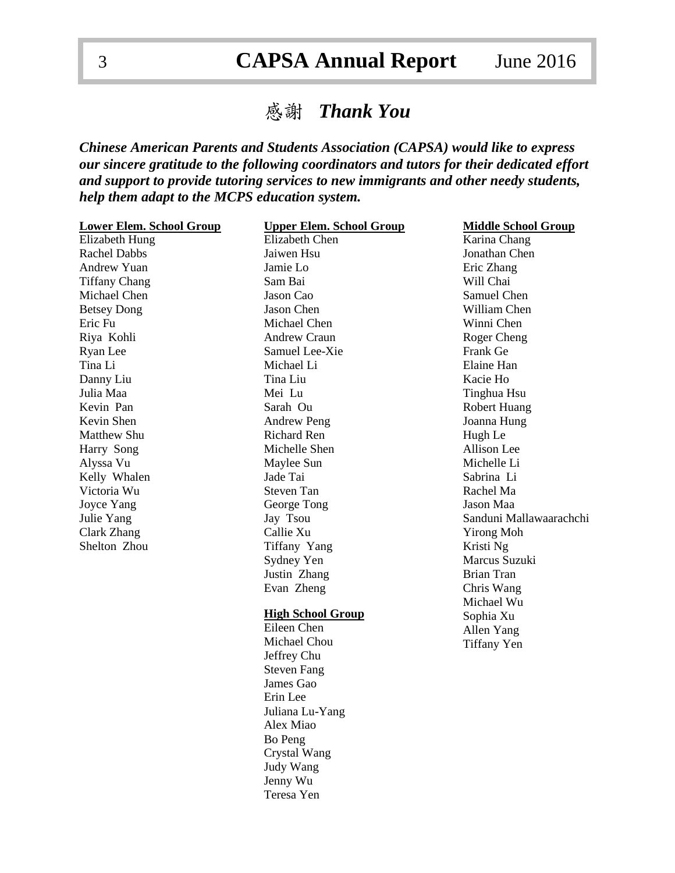# 感謝 *Thank You*

*Chinese American Parents and Students Association (CAPSA) would like to express our sincere gratitude to the following coordinators and tutors for their dedicated effort and support to provide tutoring services to new immigrants and other needy students, help them adapt to the MCPS education system.*

| <b>Lower Elem. School Group</b> | <b>Upper Elem. School Group</b> | <b>Middle School Group</b> |
|---------------------------------|---------------------------------|----------------------------|
| Elizabeth Hung                  | <b>Elizabeth Chen</b>           | Karina Chang               |
| <b>Rachel Dabbs</b>             | Jaiwen Hsu                      | Jonathan Chen              |
| Andrew Yuan                     | Jamie Lo                        | Eric Zhang                 |
| <b>Tiffany Chang</b>            | Sam Bai                         | Will Chai                  |
| Michael Chen                    | Jason Cao                       | Samuel Chen                |
| <b>Betsey Dong</b>              | Jason Chen                      | William Chen               |
| Eric Fu                         | Michael Chen                    | Winni Chen                 |
| Riya Kohli                      | <b>Andrew Craun</b>             | Roger Cheng                |
| Ryan Lee                        | Samuel Lee-Xie                  | Frank Ge                   |
| Tina Li                         | Michael Li                      | Elaine Han                 |
| Danny Liu                       | Tina Liu                        | Kacie Ho                   |
| Julia Maa                       | Mei Lu                          | Tinghua Hsu                |
| Kevin Pan                       | Sarah Ou                        | <b>Robert Huang</b>        |
| Kevin Shen                      | <b>Andrew Peng</b>              | Joanna Hung                |
| Matthew Shu                     | <b>Richard Ren</b>              | Hugh Le                    |
| Harry Song                      | Michelle Shen                   | Allison Lee                |
| Alyssa Vu                       | Maylee Sun                      | Michelle Li                |
| Kelly Whalen                    | Jade Tai                        | Sabrina Li                 |
| Victoria Wu                     | <b>Steven Tan</b>               | Rachel Ma                  |
| Joyce Yang                      | George Tong                     | Jason Maa                  |
| Julie Yang                      | Jay Tsou                        | Sanduni Mallawaarachchi    |
| Clark Zhang                     | Callie Xu                       | <b>Yirong Moh</b>          |
| Shelton Zhou                    | Tiffany Yang                    | Kristi Ng                  |
|                                 | Sydney Yen                      | Marcus Suzuki              |
|                                 | Justin Zhang                    | <b>Brian Tran</b>          |
|                                 | Evan Zheng                      | Chris Wang                 |
|                                 |                                 | Michael Wu                 |
|                                 | <b>High School Group</b>        | Sophia Xu                  |
|                                 | Eileen Chen                     | Allen Yang                 |
|                                 | Michael Chou                    | <b>Tiffany Yen</b>         |
|                                 | Jeffrey Chu                     |                            |
|                                 | <b>Steven Fang</b>              |                            |
|                                 | James Gao                       |                            |
|                                 | Erin Lee                        |                            |
|                                 | Juliana Lu-Yang                 |                            |
|                                 | Alex Miao                       |                            |
|                                 | Bo Peng                         |                            |
|                                 | Crystal Wang                    |                            |
|                                 | Judy Wang                       |                            |
|                                 | Jenny Wu                        |                            |
|                                 | Teresa Yen                      |                            |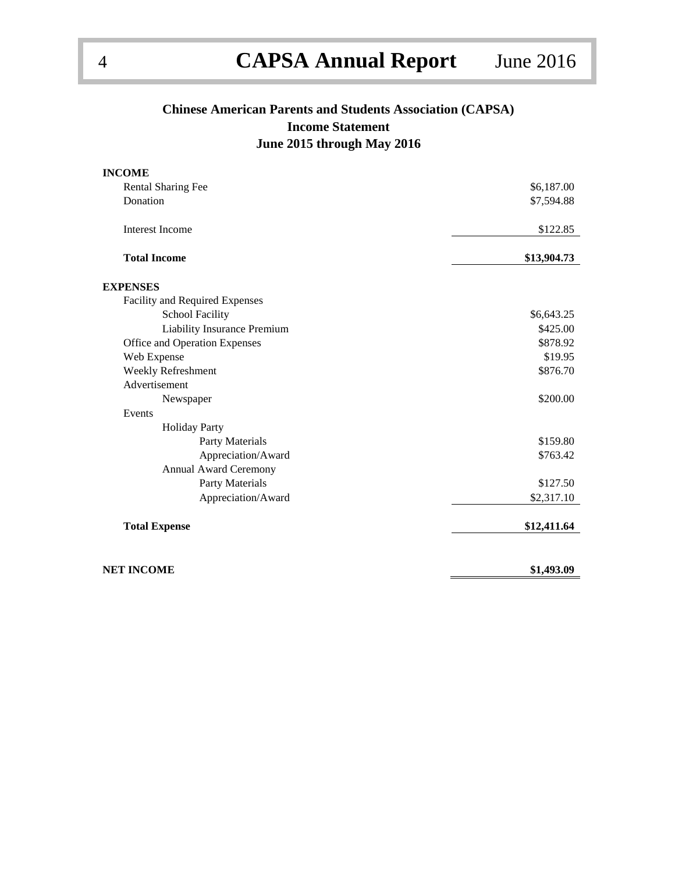### **Chinese American Parents and Students Association (CAPSA) Income Statement June 2015 through May 2016**

| <b>INCOME</b>                  |             |
|--------------------------------|-------------|
| <b>Rental Sharing Fee</b>      | \$6,187.00  |
| Donation                       | \$7,594.88  |
| <b>Interest Income</b>         | \$122.85    |
| <b>Total Income</b>            | \$13,904.73 |
| <b>EXPENSES</b>                |             |
| Facility and Required Expenses |             |
| <b>School Facility</b>         | \$6,643.25  |
| Liability Insurance Premium    | \$425.00    |
| Office and Operation Expenses  | \$878.92    |
| Web Expense                    | \$19.95     |
| Weekly Refreshment             | \$876.70    |
| Advertisement                  |             |
| Newspaper                      | \$200.00    |
| Events                         |             |
| <b>Holiday Party</b>           |             |
| Party Materials                | \$159.80    |
| Appreciation/Award             | \$763.42    |
| Annual Award Ceremony          |             |
| Party Materials                | \$127.50    |
| Appreciation/Award             | \$2,317.10  |
| <b>Total Expense</b>           | \$12,411.64 |
| <b>NET INCOME</b>              | \$1,493.09  |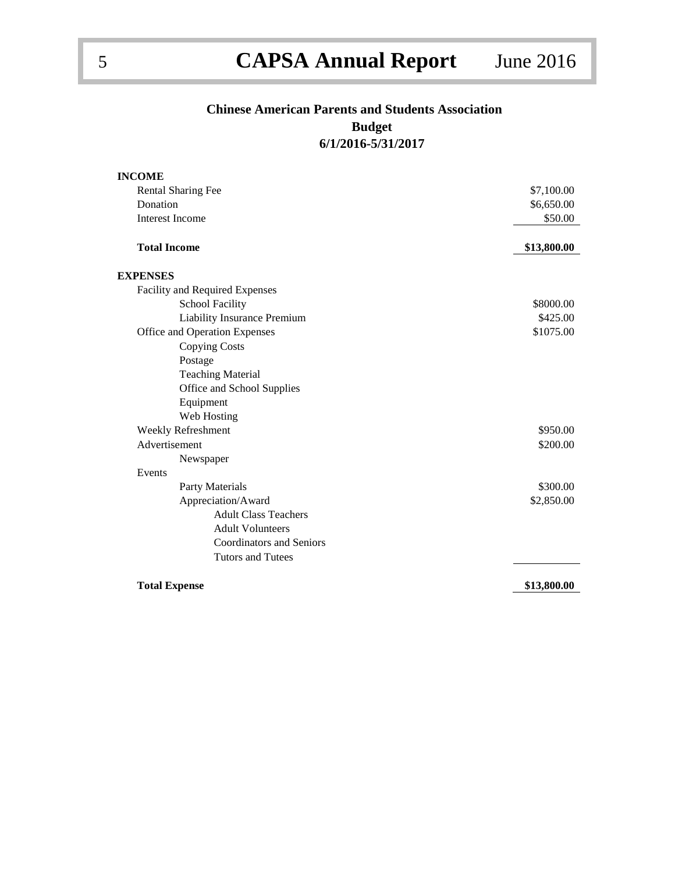# **Chinese American Parents and Students Association Budget**

**6/1/2016-5/31/2017**

| <b>INCOME</b>                      |             |
|------------------------------------|-------------|
| <b>Rental Sharing Fee</b>          | \$7,100.00  |
| Donation                           | \$6,650.00  |
| <b>Interest Income</b>             | \$50.00     |
| <b>Total Income</b>                | \$13,800.00 |
| <b>EXPENSES</b>                    |             |
| Facility and Required Expenses     |             |
| <b>School Facility</b>             | \$8000.00   |
| <b>Liability Insurance Premium</b> | \$425.00    |
| Office and Operation Expenses      | \$1075.00   |
| <b>Copying Costs</b>               |             |
| Postage                            |             |
| <b>Teaching Material</b>           |             |
| Office and School Supplies         |             |
| Equipment                          |             |
| Web Hosting                        |             |
| Weekly Refreshment                 | \$950.00    |
| Advertisement                      | \$200.00    |
| Newspaper                          |             |
| Events                             |             |
| Party Materials                    | \$300.00    |
| Appreciation/Award                 | \$2,850.00  |
| <b>Adult Class Teachers</b>        |             |
| <b>Adult Volunteers</b>            |             |
| <b>Coordinators and Seniors</b>    |             |
| <b>Tutors and Tutees</b>           |             |
| <b>Total Expense</b>               | \$13,800.00 |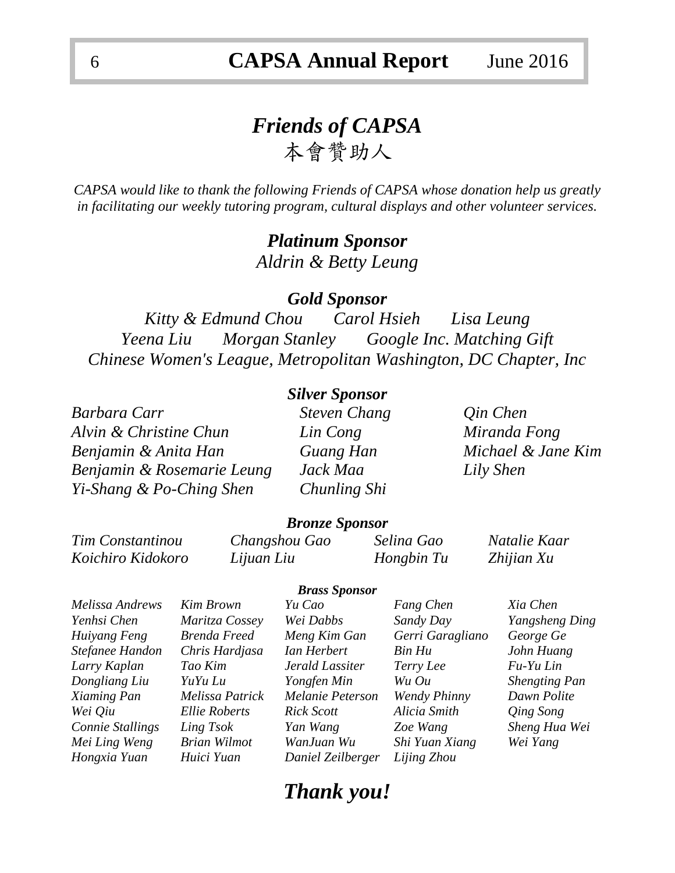# *Friends of CAPSA*  本會贊助人

*CAPSA would like to thank the following Friends of CAPSA whose donation help us greatly in facilitating our weekly tutoring program, cultural displays and other volunteer services.*

### *Platinum Sponsor Aldrin & Betty Leung*

### *Gold Sponsor*

*Kitty & Edmund Chou Carol Hsieh Lisa Leung Yeena Liu Morgan Stanley Google Inc. Matching Gift Chinese Women's League, Metropolitan Washington, DC Chapter, Inc*

### *Silver Sponsor*

*Barbara Carr Steven Chang Qin Chen Alvin & Christine Chun Lin Cong Miranda Fong Benjamin & Anita Han Guang Han Michael & Jane Kim Benjamin & Rosemarie Leung Jack Maa Lily Shen Yi-Shang & Po-Ching Shen Chunling Shi*

### *Bronze Sponsor*

*Koichiro Kidokoro Lijuan Liu Hongbin Tu Zhijian Xu*

*Tim Constantinou Changshou Gao Selina Gao Natalie Kaar*

*Melissa Andrews Kim Brown Yu Cao Fang Chen Xia Chen Yenhsi Chen Maritza Cossey Wei Dabbs Sandy Day Yangsheng Ding Huiyang Feng Brenda Freed Meng Kim Gan Gerri Garagliano George Ge Stefanee Handon Chris Hardjasa Ian Herbert Bin Hu John Huang Larry Kaplan Tao Kim Jerald Lassiter Terry Lee Fu-Yu Lin Dongliang Liu YuYu Lu Yongfen Min Wu Ou Shengting Pan Xiaming Pan Melissa Patrick Melanie Peterson Wendy Phinny Dawn Polite Wei Qiu Ellie Roberts Rick Scott Alicia Smith Qing Song Connie Stallings Ling Tsok Yan Wang Zoe Wang Sheng Hua Wei Mei Ling Weng Brian Wilmot WanJuan Wu Shi Yuan Xiang Wei Yang Hongxia Yuan Huici Yuan Daniel Zeilberger Lijing Zhou*

#### *Brass Sponsor*

# *Thank you!*